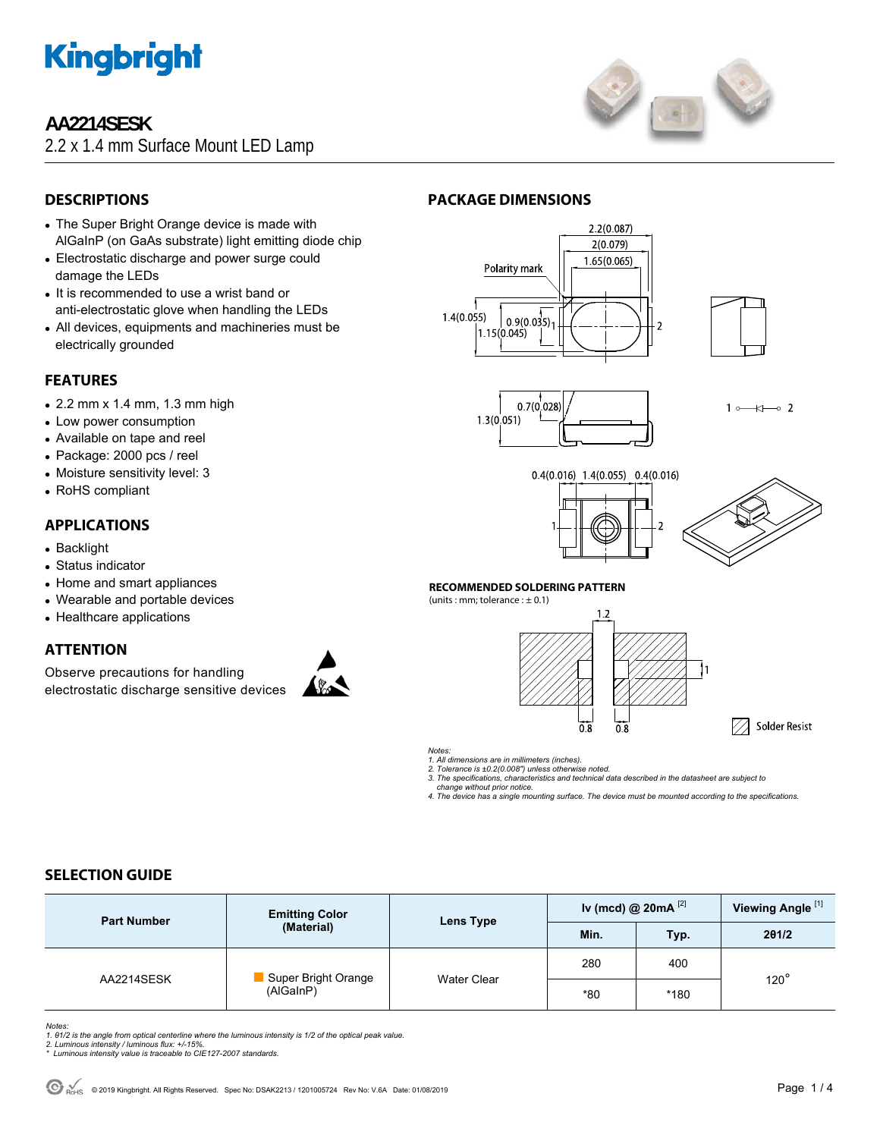

# **AA2214SESK**

2.2 x 1.4 mm Surface Mount LED Lamp



# **DESCRIPTIONS**

- The Super Bright Orange device is made with AlGaInP (on GaAs substrate) light emitting diode chip
- Electrostatic discharge and power surge could damage the LEDs
- It is recommended to use a wrist band or anti-electrostatic glove when handling the LEDs
- All devices, equipments and machineries must be electrically grounded

### **FEATURES**

- $\bullet$  2.2 mm x 1.4 mm, 1.3 mm high
- Low power consumption
- Available on tape and reel
- Package: 2000 pcs / reel
- Moisture sensitivity level: 3
- RoHS compliant

#### **APPLICATIONS**

- Backlight
- Status indicator
- Home and smart appliances
- Wearable and portable devices
- Healthcare applications

### **ATTENTION**

Observe precautions for handling electrostatic discharge sensitive devices



### **PACKAGE DIMENSIONS**







 $1 \rightarrow \rightarrow \rightarrow$ 





#### **RECOMMENDED SOLDERING PATTERN**

(units : mm; tolerance  $: \pm 0.1$ )



*Notes:* 

*1. All dimensions are in millimeters (inches).* 

*2. Tolerance is ±0.2(0.008") unless otherwise noted.* 

*3. The specifications, characteristics and technical data described in the datasheet are subject to change without prior notice.* 

*4. The device has a single mounting surface. The device must be mounted according to the specifications.* 

## **SELECTION GUIDE**

| <b>Part Number</b> | <b>Emitting Color</b><br>(Material) | Lens Type          | Iv (mcd) @ 20mA $^{[2]}$ |      | Viewing Angle <sup>[1]</sup> |
|--------------------|-------------------------------------|--------------------|--------------------------|------|------------------------------|
|                    |                                     |                    | Min.                     | Typ. | 201/2                        |
| AA2214SESK         | Super Bright Orange<br>(AlGaInP)    | <b>Water Clear</b> | 280                      | 400  | $120^\circ$                  |
|                    |                                     |                    | $*80$                    | *180 |                              |

*Notes: 1. θ1/2 is the angle from optical centerline where the luminous intensity is 1/2 of the optical peak value. 2. Luminous intensity / luminous flux: +/-15%.* 

Luminous intensity value is traceable to CIE127-2007 standards.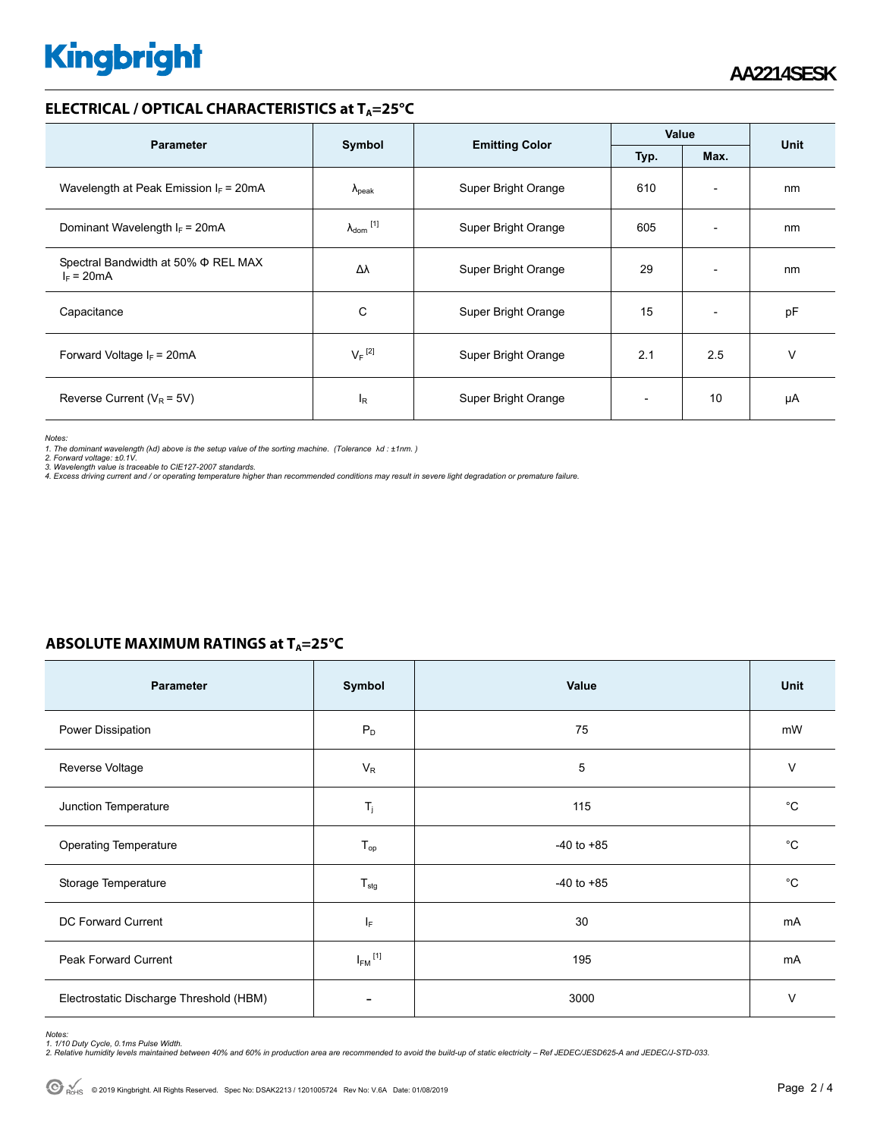# **Kingbright**

#### **ELECTRICAL / OPTICAL CHARACTERISTICS at T<sub>A</sub>=25°C**

| <b>Parameter</b>                                    |                            |                       | Value |                          | <b>Unit</b> |
|-----------------------------------------------------|----------------------------|-----------------------|-------|--------------------------|-------------|
|                                                     | Symbol                     | <b>Emitting Color</b> | Typ.  | Max.                     |             |
| Wavelength at Peak Emission $I_F$ = 20mA            | $\lambda_{\rm peak}$       | Super Bright Orange   | 610   | $\overline{\phantom{0}}$ | nm          |
| Dominant Wavelength $I_F$ = 20mA                    | $\lambda_{\text{dom}}$ [1] | Super Bright Orange   | 605   | $\overline{\phantom{0}}$ | nm          |
| Spectral Bandwidth at 50% Φ REL MAX<br>$I_F = 20mA$ | Δλ                         | Super Bright Orange   | 29    | $\overline{\phantom{a}}$ | nm          |
| Capacitance                                         | С                          | Super Bright Orange   | 15    | $\overline{\phantom{a}}$ | pF          |
| Forward Voltage $I_F = 20mA$                        | $V_F$ <sup>[2]</sup>       | Super Bright Orange   | 2.1   | 2.5                      | v           |
| Reverse Current ( $V_R$ = 5V)                       | l <sub>R</sub>             | Super Bright Orange   |       | 10                       | μA          |

*Notes:* 

*1. The dominant wavelength (*λ*d) above is the setup value of the sorting machine. (Tolerance* λ*d : ±1nm. )* 

*2. Forward voltage: ±0.1V. 3. Wavelength value is traceable to CIE127-2007 standards.* 

*4. Excess driving current and / or operating temperature higher than recommended conditions may result in severe light degradation or premature failure.* 

# **ABSOLUTE MAXIMUM RATINGS at T<sub>A</sub>=25°C**

| Parameter                               | Symbol                   | Value          | Unit        |
|-----------------------------------------|--------------------------|----------------|-------------|
| Power Dissipation                       | $P_D$                    | 75             | mW          |
| Reverse Voltage                         | $V_R$                    | 5              | V           |
| Junction Temperature                    | $T_j$                    | 115            | $^{\circ}C$ |
| <b>Operating Temperature</b>            | $T_{op}$                 | $-40$ to $+85$ | $^{\circ}C$ |
| Storage Temperature                     | $T_{\text{stg}}$         | $-40$ to $+85$ | °C          |
| DC Forward Current                      | ΙF                       | 30             | mA          |
| Peak Forward Current                    | $I_{FM}$ <sup>[1]</sup>  | 195            | mA          |
| Electrostatic Discharge Threshold (HBM) | $\overline{\phantom{a}}$ | 3000           | V           |

Notes:<br>1. 1/10 Duty Cycle, 0.1ms Pulse Width.<br>2. Relative humidity levels maintained between 40% and 60% in production area are recommended to avoid the build-up of static electricity – Ref JEDEC/JESD625-A and JEDEC/J-STD-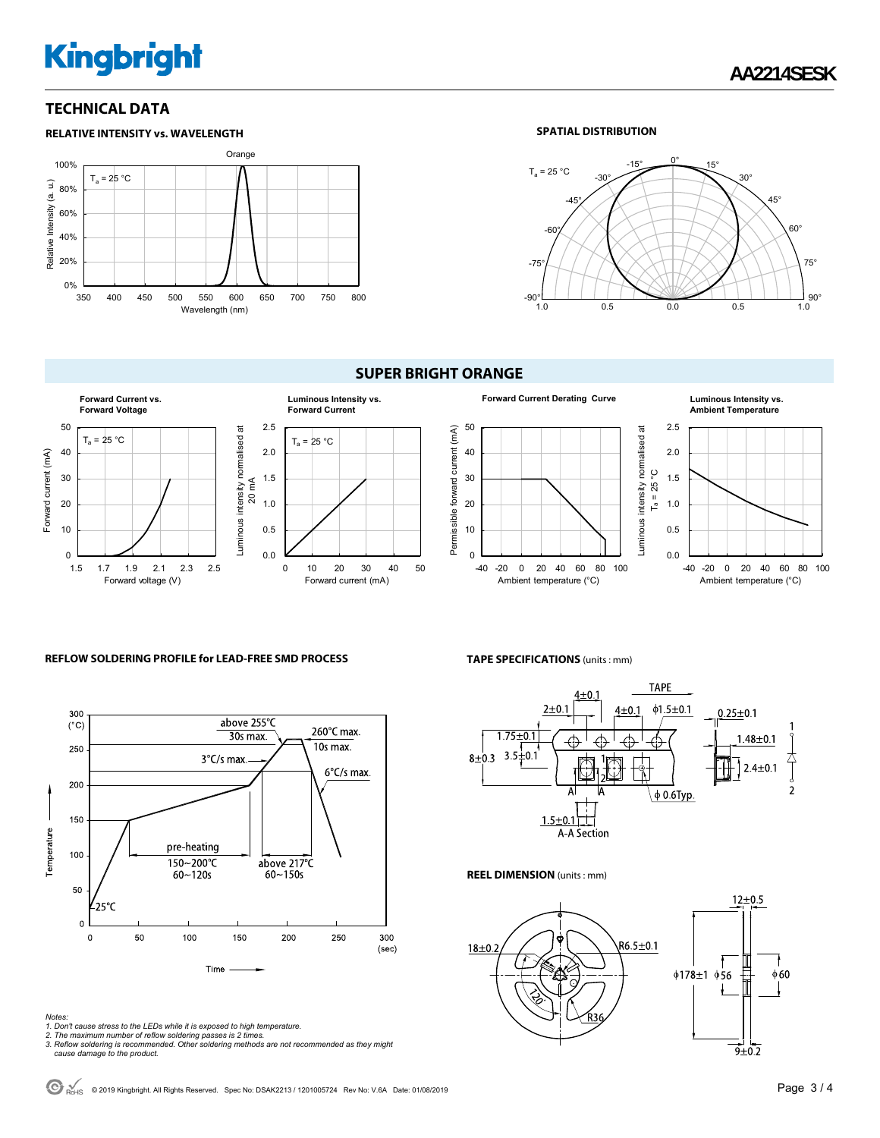# **Kingbright**

#### **TECHNICAL DATA**



#### **SPATIAL DISTRIBUTION**



#### **SUPER BRIGHT ORANGE**



#### 50 Permissible forward current (mA) uminous intensity normalised at Permissible forward current (mA) Luminous intensity normalised at 40 ပ္ပ 30  $T_a = 25^\circ$ C  $T_a = 25$ 20 10  $\Omega$ -40 -20 0 20 40 60 80 100 Ambient temperature (°C)

#### **Forward Current Derating Curve Luminous Intensity vs. Ambient Temperature**



#### **REFLOW SOLDERING PROFILE for LEAD-FREE SMD PROCESS**



# **TAPE SPECIFICATIONS** (units : mm)



#### **REEL DIMENSION** (units : mm)



*Notes:* 

- 
- 1. Don't cause stress to the LEDs while it is exposed to high temperature.<br>2. The maximum number of reflow soldering passes is 2 times.<br>3. Reflow soldering is recommended. Other soldering methods are not recommended as the  *cause damage to the product.*